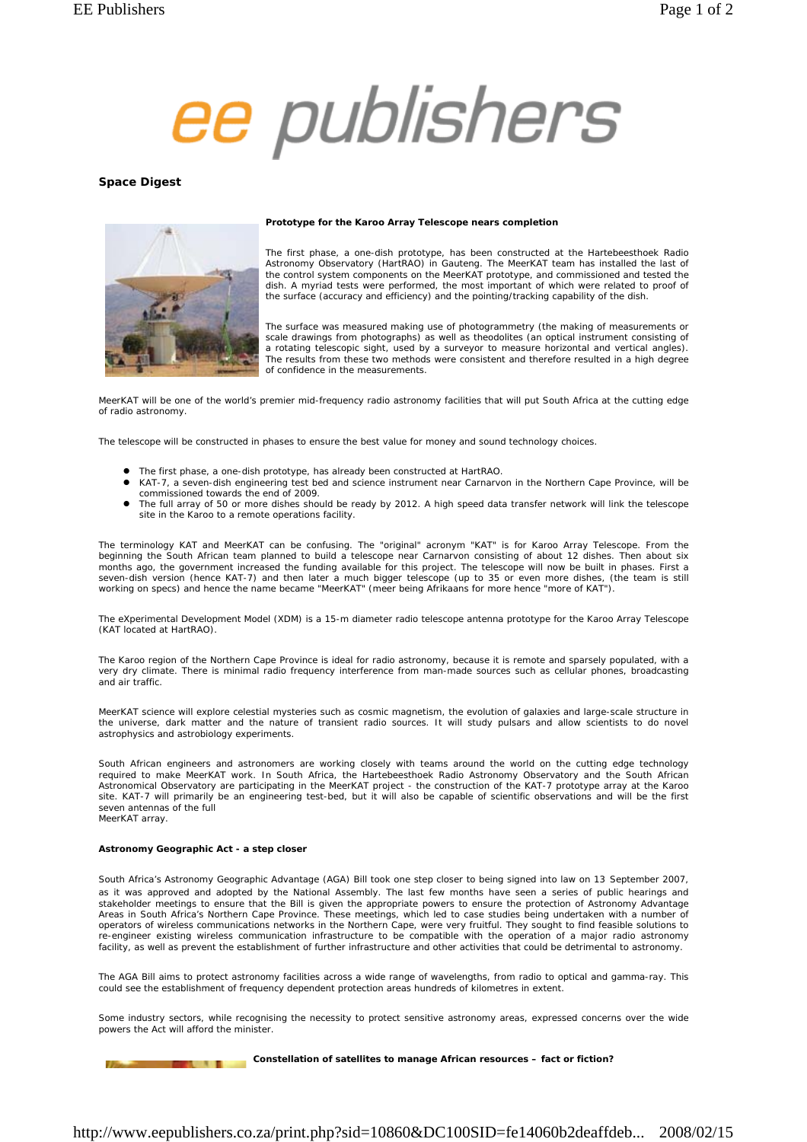

## **Space Digest**



#### **Prototype for the Karoo Array Telescope nears completion**

The first phase, a one-dish prototype, has been constructed at the Hartebeesthoek Radio Astronomy Observatory (HartRAO) in Gauteng. The MeerKAT team has installed the last of the control system components on the MeerKAT prototype, and commissioned and tested the dish. A myriad tests were performed, the most important of which were related to proof of the surface (accuracy and efficiency) and the pointing/tracking capability of the dish.

The surface was measured making use of photogrammetry (the making of measurements or scale drawings from photographs) as well as theodolites (an optical instrument consisting of a rotating telescopic sight, used by a surveyor to measure horizontal and vertical angles). The results from these two methods were consistent and therefore resulted in a high degree of confidence in the measurements.

MeerKAT will be one of the world's premier mid-frequency radio astronomy facilities that will put South Africa at the cutting edge of radio astronomy.

The telescope will be constructed in phases to ensure the best value for money and sound technology choices.

- The first phase, a one-dish prototype, has already been constructed at HartRAO.
- z KAT-7, a seven-dish engineering test bed and science instrument near Carnarvon in the Northern Cape Province, will be commissioned towards the end of 2009.
- The full array of 50 or more dishes should be ready by 2012. A high speed data transfer network will link the telescope site in the Karoo to a remote operations facility.

The terminology KAT and MeerKAT can be confusing. The "original" acronym "KAT" is for Karoo Array Telescope. From the<br>beginning the South African team planned to build a telescope near Carnarvon consisting of about 12 dish months ago, the government increased the funding available for this project. The telescope will now be built in phases. First a seven-dish version (hence KAT-7) and then later a much bigger telescope (up to 35 or even more dishes, (the team is still working on specs) and hence the name became "MeerKAT" (meer being Afrikaans for more hence "more of KAT").

The eXperimental Development Model (XDM) is a 15-m diameter radio telescope antenna prototype for the Karoo Array Telescope (KAT located at HartRAO).

The Karoo region of the Northern Cape Province is ideal for radio astronomy, because it is remote and sparsely populated, with a very dry climate. There is minimal radio frequency interference from man-made sources such as cellular phones, broadcasting and air traffic.

MeerKAT science will explore celestial mysteries such as cosmic magnetism, the evolution of galaxies and large-scale structure in the universe, dark matter and the nature of transient radio sources. It will study pulsars and allow scientists to do novel astrophysics and astrobiology experiments.

South African engineers and astronomers are working closely with teams around the world on the cutting edge technology required to make MeerKAT work. In South Africa, the Hartebeesthoek Radio Astronomy Observatory and the South African Astronomical Observatory are participating in the MeerKAT project - the construction of the KAT-7 prototype array at the Karoo site. KAT-7 will primarily be an engineering test-bed, but it will also be capable of scientific observations and will be the first seven antennas of the full MeerKAT array.

#### **Astronomy Geographic Act - a step closer**

South Africa's Astronomy Geographic Advantage (AGA) Bill took one step closer to being signed into law on 13 September 2007, as it was approved and adopted by the National Assembly. The last few months have seen a series of public hearings and stakeholder meetings to ensure that the Bill is given the appropriate powers to ensure the protection of Astronomy Advantage Areas in South Africa's Northern Cape Province. These meetings, which led to case studies being undertaken with a number of operators of wireless communications networks in the Northern Cape, were very fruitful. They sought to find feasible solutions to re-engineer existing wireless communication infrastructure to be compatible with the operation of a major radio astronomy facility, as well as prevent the establishment of further infrastructure and other activities that could be detrimental to astronomy.

The AGA Bill aims to protect astronomy facilities across a wide range of wavelengths, from radio to optical and gamma-ray. This could see the establishment of frequency dependent protection areas hundreds of kilometres in extent.

Some industry sectors, while recognising the necessity to protect sensitive astronomy areas, expressed concerns over the wide powers the Act will afford the minister.

# **Constellation of satellites to manage African resources – fact or fiction?**